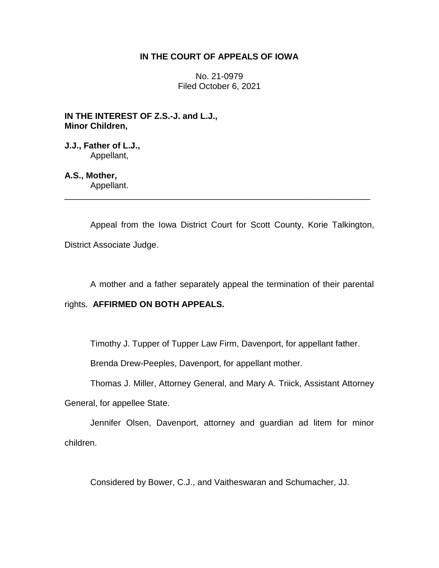## **IN THE COURT OF APPEALS OF IOWA**

No. 21-0979 Filed October 6, 2021

**IN THE INTEREST OF Z.S.-J. and L.J., Minor Children,**

**J.J., Father of L.J.,** Appellant,

**A.S., Mother,** Appellant.

Appeal from the Iowa District Court for Scott County, Korie Talkington, District Associate Judge.

\_\_\_\_\_\_\_\_\_\_\_\_\_\_\_\_\_\_\_\_\_\_\_\_\_\_\_\_\_\_\_\_\_\_\_\_\_\_\_\_\_\_\_\_\_\_\_\_\_\_\_\_\_\_\_\_\_\_\_\_\_\_\_\_

A mother and a father separately appeal the termination of their parental

## rights. **AFFIRMED ON BOTH APPEALS.**

Timothy J. Tupper of Tupper Law Firm, Davenport, for appellant father.

Brenda Drew-Peeples, Davenport, for appellant mother.

Thomas J. Miller, Attorney General, and Mary A. Triick, Assistant Attorney

General, for appellee State.

Jennifer Olsen, Davenport, attorney and guardian ad litem for minor children.

Considered by Bower, C.J., and Vaitheswaran and Schumacher, JJ.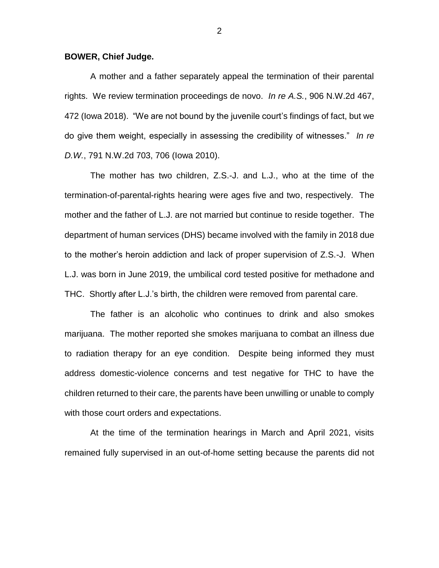## **BOWER, Chief Judge.**

A mother and a father separately appeal the termination of their parental rights. We review termination proceedings de novo. *In re A.S.*, 906 N.W.2d 467, 472 (Iowa 2018). "We are not bound by the juvenile court's findings of fact, but we do give them weight, especially in assessing the credibility of witnesses." *In re D.W.*, 791 N.W.2d 703, 706 (Iowa 2010).

The mother has two children, Z.S.-J. and L.J., who at the time of the termination-of-parental-rights hearing were ages five and two, respectively. The mother and the father of L.J. are not married but continue to reside together. The department of human services (DHS) became involved with the family in 2018 due to the mother's heroin addiction and lack of proper supervision of Z.S.-J. When L.J. was born in June 2019, the umbilical cord tested positive for methadone and THC. Shortly after L.J.'s birth, the children were removed from parental care.

The father is an alcoholic who continues to drink and also smokes marijuana. The mother reported she smokes marijuana to combat an illness due to radiation therapy for an eye condition. Despite being informed they must address domestic-violence concerns and test negative for THC to have the children returned to their care, the parents have been unwilling or unable to comply with those court orders and expectations.

At the time of the termination hearings in March and April 2021, visits remained fully supervised in an out-of-home setting because the parents did not

2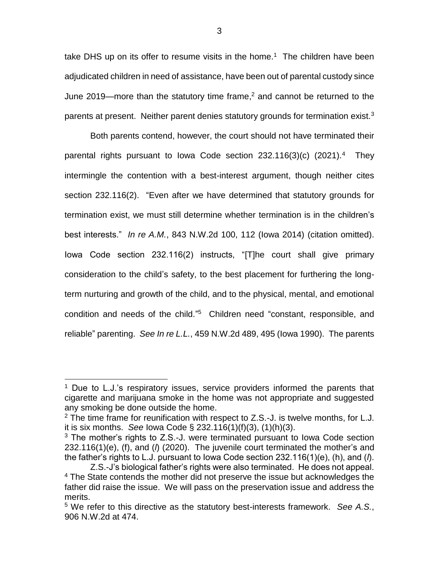take DHS up on its offer to resume visits in the home.<sup>1</sup> The children have been adjudicated children in need of assistance, have been out of parental custody since June 2019—more than the statutory time frame,<sup>2</sup> and cannot be returned to the parents at present. Neither parent denies statutory grounds for termination exist.<sup>3</sup>

Both parents contend, however, the court should not have terminated their parental rights pursuant to lowa Code section 232.116(3)(c) (2021).<sup>4</sup> They intermingle the contention with a best-interest argument, though neither cites section 232.116(2). "Even after we have determined that statutory grounds for termination exist, we must still determine whether termination is in the children's best interests." *In re A.M.*, 843 N.W.2d 100, 112 (Iowa 2014) (citation omitted). Iowa Code section 232.116(2) instructs, "[T]he court shall give primary consideration to the child's safety, to the best placement for furthering the longterm nurturing and growth of the child, and to the physical, mental, and emotional condition and needs of the child." 5 Children need "constant, responsible, and reliable" parenting. *See In re L.L.*, 459 N.W.2d 489, 495 (Iowa 1990). The parents

 $\overline{a}$ 

 $1$  Due to L.J.'s respiratory issues, service providers informed the parents that cigarette and marijuana smoke in the home was not appropriate and suggested any smoking be done outside the home.

<sup>2</sup> The time frame for reunification with respect to Z.S.-J. is twelve months, for L.J. it is six months. *See* Iowa Code § 232.116(1)(f)(3), (1)(h)(3).

 $3$  The mother's rights to Z.S.-J. were terminated pursuant to lowa Code section 232.116(1)(e), (f), and (*l*) (2020). The juvenile court terminated the mother's and the father's rights to L.J. pursuant to Iowa Code section 232.116(1)(e), (h), and (*l*).

Z.S.-J's biological father's rights were also terminated. He does not appeal. <sup>4</sup> The State contends the mother did not preserve the issue but acknowledges the father did raise the issue. We will pass on the preservation issue and address the merits.

<sup>5</sup> We refer to this directive as the statutory best-interests framework. *See A.S.*, 906 N.W.2d at 474.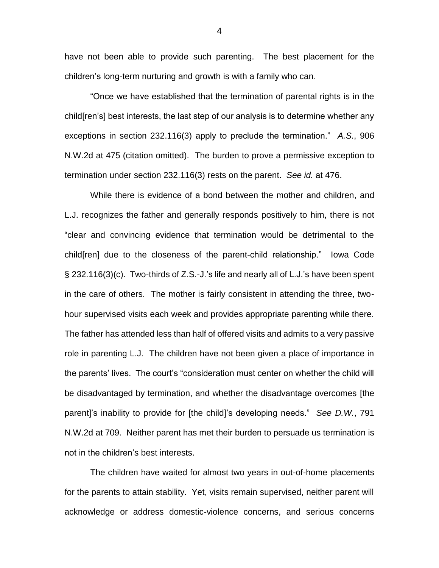have not been able to provide such parenting. The best placement for the children's long-term nurturing and growth is with a family who can.

"Once we have established that the termination of parental rights is in the child[ren's] best interests, the last step of our analysis is to determine whether any exceptions in section 232.116(3) apply to preclude the termination." *A.S.*, 906 N.W.2d at 475 (citation omitted). The burden to prove a permissive exception to termination under section 232.116(3) rests on the parent. *See id.* at 476.

While there is evidence of a bond between the mother and children, and L.J. recognizes the father and generally responds positively to him, there is not "clear and convincing evidence that termination would be detrimental to the child[ren] due to the closeness of the parent-child relationship." Iowa Code § 232.116(3)(c). Two-thirds of Z.S.-J.'s life and nearly all of L.J.'s have been spent in the care of others. The mother is fairly consistent in attending the three, twohour supervised visits each week and provides appropriate parenting while there. The father has attended less than half of offered visits and admits to a very passive role in parenting L.J. The children have not been given a place of importance in the parents' lives. The court's "consideration must center on whether the child will be disadvantaged by termination, and whether the disadvantage overcomes [the parent]'s inability to provide for [the child]'s developing needs." *See D.W.*, 791 N.W.2d at 709. Neither parent has met their burden to persuade us termination is not in the children's best interests.

The children have waited for almost two years in out-of-home placements for the parents to attain stability. Yet, visits remain supervised, neither parent will acknowledge or address domestic-violence concerns, and serious concerns

4